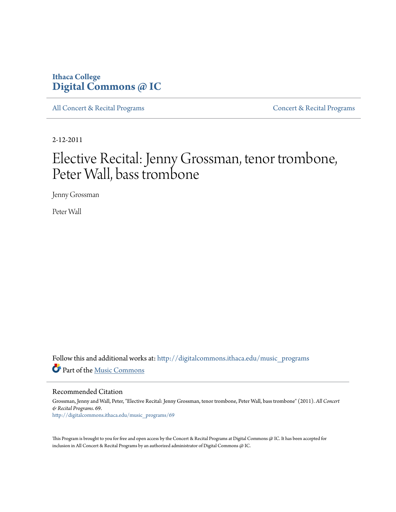### **Ithaca College [Digital Commons @ IC](http://digitalcommons.ithaca.edu?utm_source=digitalcommons.ithaca.edu%2Fmusic_programs%2F69&utm_medium=PDF&utm_campaign=PDFCoverPages)**

[All Concert & Recital Programs](http://digitalcommons.ithaca.edu/music_programs?utm_source=digitalcommons.ithaca.edu%2Fmusic_programs%2F69&utm_medium=PDF&utm_campaign=PDFCoverPages) **[Concert & Recital Programs](http://digitalcommons.ithaca.edu/som_programs?utm_source=digitalcommons.ithaca.edu%2Fmusic_programs%2F69&utm_medium=PDF&utm_campaign=PDFCoverPages)** 

2-12-2011

# Elective Recital: Jenny Grossman, tenor trombone, Peter Wall, bass trombone

Jenny Grossman

Peter Wall

Follow this and additional works at: [http://digitalcommons.ithaca.edu/music\\_programs](http://digitalcommons.ithaca.edu/music_programs?utm_source=digitalcommons.ithaca.edu%2Fmusic_programs%2F69&utm_medium=PDF&utm_campaign=PDFCoverPages) Part of the [Music Commons](http://network.bepress.com/hgg/discipline/518?utm_source=digitalcommons.ithaca.edu%2Fmusic_programs%2F69&utm_medium=PDF&utm_campaign=PDFCoverPages)

Recommended Citation

Grossman, Jenny and Wall, Peter, "Elective Recital: Jenny Grossman, tenor trombone, Peter Wall, bass trombone" (2011). *All Concert & Recital Programs*. 69. [http://digitalcommons.ithaca.edu/music\\_programs/69](http://digitalcommons.ithaca.edu/music_programs/69?utm_source=digitalcommons.ithaca.edu%2Fmusic_programs%2F69&utm_medium=PDF&utm_campaign=PDFCoverPages)

This Program is brought to you for free and open access by the Concert & Recital Programs at Digital Commons @ IC. It has been accepted for inclusion in All Concert & Recital Programs by an authorized administrator of Digital Commons @ IC.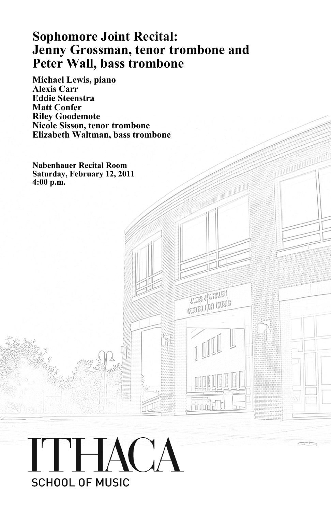## **Sophomore Joint Recital: Jenny Grossman, tenor trombone and Peter Wall, bass trombone**

**TATES JUVALAN** CRITER FOR MUSIC

**Michael Lewis, piano Alexis Carr Eddie Steenstra Matt Confer Riley Goodemote Nicole Sisson, tenor trombone Elizabeth Waltman, bass trombone**

**Nabenhauer Recital Room Saturday, February 12, 2011 4:00 p.m.**

# ITHACA **SCHOOL OF MUSIC**